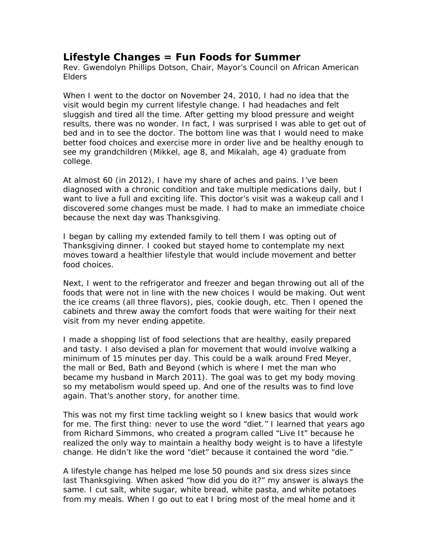## **Lifestyle Changes = Fun Foods for Summer**

Rev. Gwendolyn Phillips Dotson, Chair, Mayor's Council on African American Elders

When I went to the doctor on November 24, 2010, I had no idea that the visit would begin my current lifestyle change. I had headaches and felt sluggish and tired all the time. After getting my blood pressure and weight results, there was no wonder. In fact, I was surprised I was able to get out of bed and in to see the doctor. The bottom line was that I would need to make better food choices and exercise more in order live and be healthy enough to see my grandchildren (Mikkel, age 8, and Mikalah, age 4) graduate from college.

At almost 60 (in 2012), I have my share of aches and pains. I've been diagnosed with a chronic condition and take multiple medications daily, but I want to live a full and exciting life. This doctor's visit was a wakeup call and I discovered some changes must be made. I had to make an immediate choice because the next day was Thanksgiving.

I began by calling my extended family to tell them I was opting out of Thanksgiving dinner. I cooked but stayed home to contemplate my next moves toward a healthier lifestyle that would include movement and better food choices.

Next, I went to the refrigerator and freezer and began throwing out all of the foods that were not in line with the new choices I would be making. Out went the ice creams (all three flavors), pies, cookie dough, etc. Then I opened the cabinets and threw away the comfort foods that were waiting for their next visit from my never ending appetite.

I made a shopping list of food selections that are healthy, easily prepared and tasty. I also devised a plan for movement that would involve walking a minimum of 15 minutes per day. This could be a walk around Fred Meyer, the mall or Bed, Bath and Beyond (which is where I met the man who became my husband in March 2011). The goal was to get my body moving so my metabolism would speed up. And one of the results was to find love again. That's another story, for another time.

This was not my first time tackling weight so I knew basics that would work for me. The first thing: never to use the word "diet." I learned that years ago from Richard Simmons, who created a program called "Live It" because he realized the only way to maintain a healthy body weight is to have a lifestyle change. He didn't like the word "diet" because it contained the word "die."

A lifestyle change has helped me lose 50 pounds and six dress sizes since last Thanksgiving. When asked "how did you do it?" my answer is always the same. I cut salt, white sugar, white bread, white pasta, and white potatoes from my meals. When I go out to eat I bring most of the meal home and it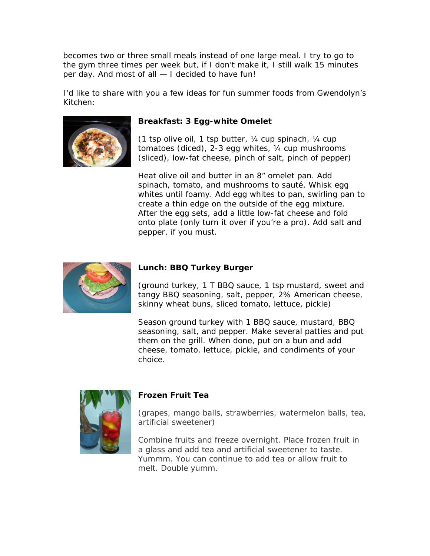becomes two or three small meals instead of one large meal. I try to go to the gym three times per week but, if I don't make it, I still walk 15 minutes per day. And most of all — I decided to have fun!

I'd like to share with you a few ideas for fun summer foods from Gwendolyn's Kitchen:



## **Breakfast: 3 Egg-white Omelet**

*(1 tsp olive oil, 1 tsp butter, ¼ cup spinach, ¼ cup tomatoes (diced), 2-3 egg whites, ¼ cup mushrooms (sliced), low-fat cheese, pinch of salt, pinch of pepper)* 

Heat olive oil and butter in an 8" omelet pan. Add spinach, tomato, and mushrooms to sauté. Whisk egg whites until foamy. Add egg whites to pan, swirling pan to create a thin edge on the outside of the egg mixture. After the egg sets, add a little low-fat cheese and fold onto plate (only turn it over if you're a pro). Add salt and pepper, if you must.



## **Lunch: BBQ Turkey Burger**

*(ground turkey, 1 T BBQ sauce, 1 tsp mustard, sweet and tangy BBQ seasoning, salt, pepper, 2% American cheese, skinny wheat buns, sliced tomato, lettuce, pickle)* 

Season ground turkey with 1 BBQ sauce, mustard, BBQ seasoning, salt, and pepper. Make several patties and put them on the grill. When done, put on a bun and add cheese, tomato, lettuce, pickle, and condiments of your choice.



## **Frozen Fruit Tea**

*(grapes, mango balls, strawberries, watermelon balls, tea, artificial sweetener)* 

Combine fruits and freeze overnight. Place frozen fruit in a glass and add tea and artificial sweetener to taste. Yummm. You can continue to add tea or allow fruit to melt. Double yumm.